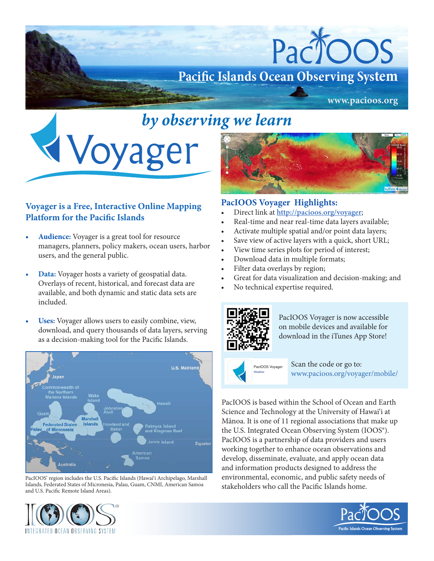

## *by observing we learn*



## **Voyager is a Free, Interactive Online Mapping Platform for the Pacific Islands**

- Audience: Voyager is a great tool for resource managers, planners, policy makers, ocean users, harbor users, and the general public.
- **Data:** Voyager hosts a variety of geospatial data. Overlays of recent, historical, and forecast data are available, and both dynamic and static data sets are included.
- **Uses:** Voyager allows users to easily combine, view, download, and query thousands of data layers, serving as a decision-making tool for the Pacific Islands.



PacIOOS' region includes the U.S. Pacific Islands (Hawai'i Archipelago, Marshall Islands, Federated States of Micronesia, Palau, Guam, CNMI, American Samoa and U.S. Pacific Remote Island Areas).



## **PacIOOS Voyager Highlights:**

- Direct link at **http://pacioos.org/voyager**;
- Real-time and near real-time data layers available;
- Activate multiple spatial and/or point data layers;
- Save view of active layers with a quick, short URL;
- View time series plots for period of interest;
- Download data in multiple formats;
- Filter data overlays by region;
- Great for data visualization and decision-making; and
- No technical expertise required.



PacIOOS Voyager is now accessible on mobile devices and available for download in the iTunes App Store!



 Scan the code or go to: www.pacioos.org/voyager/mobile/

PacIOOS is based within the School of Ocean and Earth Science and Technology at the University of Hawai'i at Mānoa. It is one of 11 regional associations that make up the U.S. Integrated Ocean Observing System (IOOS®). PacIOOS is a partnership of data providers and users working together to enhance ocean observations and develop, disseminate, evaluate, and apply ocean data and information products designed to address the environmental, economic, and public safety needs of stakeholders who call the Pacific Islands home.